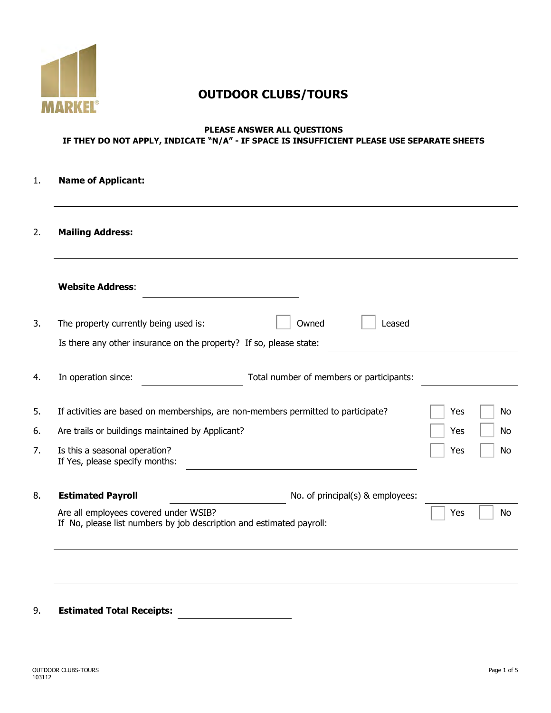

# **OUTDOOR CLUBS/TOURS**

#### **PLEASE ANSWER ALL QUESTIONS IF THEY DO NOT APPLY, INDICATE "N/A" - IF SPACE IS INSUFFICIENT PLEASE USE SEPARATE SHEETS**

### 1. **Name of Applicant:**

#### 2. **Mailing Address:**

| <b>Website Address:</b>                                                                                       |                                                                                   |     |  |
|---------------------------------------------------------------------------------------------------------------|-----------------------------------------------------------------------------------|-----|--|
| The property currently being used is:                                                                         | Owned<br>Leased                                                                   |     |  |
| Is there any other insurance on the property? If so, please state:                                            |                                                                                   |     |  |
| In operation since:                                                                                           | Total number of members or participants:                                          |     |  |
|                                                                                                               | If activities are based on memberships, are non-members permitted to participate? | Yes |  |
| Are trails or buildings maintained by Applicant?                                                              |                                                                                   | Yes |  |
| Is this a seasonal operation?<br>If Yes, please specify months:                                               |                                                                                   | Yes |  |
| <b>Estimated Payroll</b>                                                                                      | No. of principal(s) & employees:                                                  |     |  |
| Are all employees covered under WSIB?<br>If No, please list numbers by job description and estimated payroll: | Yes                                                                               |     |  |

### 9. **Estimated Total Receipts:**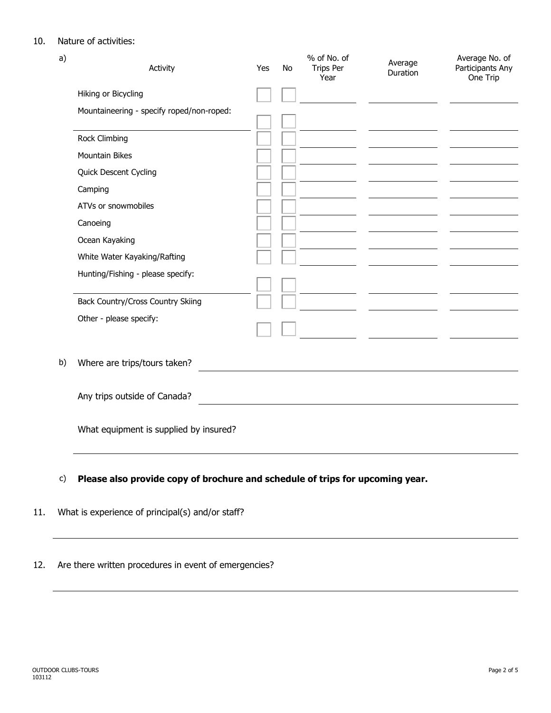### 10. Nature of activities:

| a) | Activity                                  | Yes | <b>No</b> | % of No. of<br><b>Trips Per</b><br>Year | Average<br>Duration                             | Average No. of<br>Participants Any<br>One Trip |
|----|-------------------------------------------|-----|-----------|-----------------------------------------|-------------------------------------------------|------------------------------------------------|
|    | Hiking or Bicycling                       |     |           |                                         |                                                 |                                                |
|    | Mountaineering - specify roped/non-roped: |     |           |                                         |                                                 |                                                |
|    | Rock Climbing                             |     |           |                                         |                                                 |                                                |
|    | <b>Mountain Bikes</b>                     |     |           |                                         |                                                 |                                                |
|    | Quick Descent Cycling                     |     |           |                                         |                                                 |                                                |
|    | Camping                                   |     |           |                                         |                                                 |                                                |
|    | ATVs or snowmobiles                       |     |           |                                         |                                                 |                                                |
|    | Canoeing                                  |     |           |                                         |                                                 |                                                |
|    | Ocean Kayaking                            |     |           |                                         |                                                 |                                                |
|    | White Water Kayaking/Rafting              |     |           |                                         |                                                 |                                                |
|    | Hunting/Fishing - please specify:         |     |           |                                         |                                                 |                                                |
|    | Back Country/Cross Country Skiing         |     |           |                                         |                                                 |                                                |
|    | Other - please specify:                   |     |           |                                         | <u> The Common State of the Common State of</u> |                                                |
| b) | Where are trips/tours taken?              |     |           |                                         |                                                 |                                                |
|    | Any trips outside of Canada?              |     |           |                                         |                                                 |                                                |
|    | What equipment is supplied by insured?    |     |           |                                         |                                                 |                                                |
|    |                                           |     |           |                                         |                                                 |                                                |

- c) **Please also provide copy of brochure and schedule of trips for upcoming year.**
- 11. What is experience of principal(s) and/or staff?

12. Are there written procedures in event of emergencies?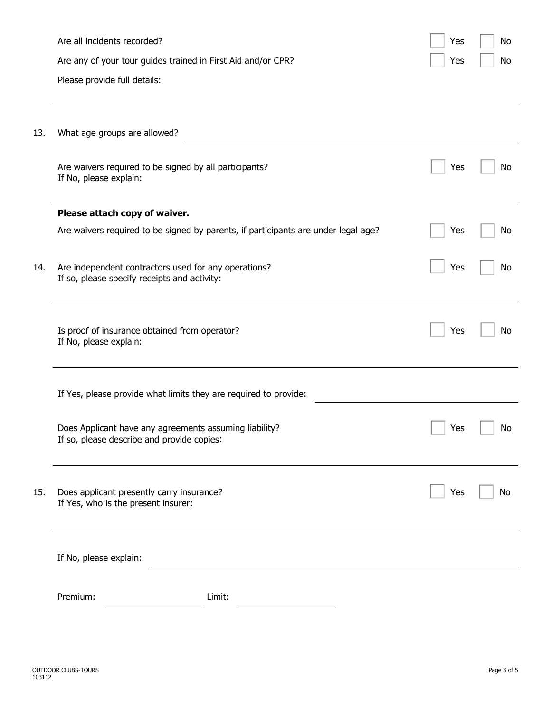|     | Are all incidents recorded?                                                                          | Yes | No |
|-----|------------------------------------------------------------------------------------------------------|-----|----|
|     | Are any of your tour guides trained in First Aid and/or CPR?                                         | Yes | No |
|     | Please provide full details:                                                                         |     |    |
| 13. | What age groups are allowed?                                                                         |     |    |
|     | Are waivers required to be signed by all participants?<br>If No, please explain:                     | Yes | No |
|     | Please attach copy of waiver.                                                                        |     |    |
|     | Are waivers required to be signed by parents, if participants are under legal age?                   | Yes | No |
| 14. | Are independent contractors used for any operations?<br>If so, please specify receipts and activity: | Yes | No |
|     | Is proof of insurance obtained from operator?<br>If No, please explain:                              | Yes | No |
|     | If Yes, please provide what limits they are required to provide:                                     |     |    |
| 15. | Does Applicant have any agreements assuming liability?<br>If so, please describe and provide copies: | Yes | No |
|     | Does applicant presently carry insurance?<br>If Yes, who is the present insurer:                     | Yes | No |
|     | If No, please explain:                                                                               |     |    |
|     | Premium:<br>Limit:                                                                                   |     |    |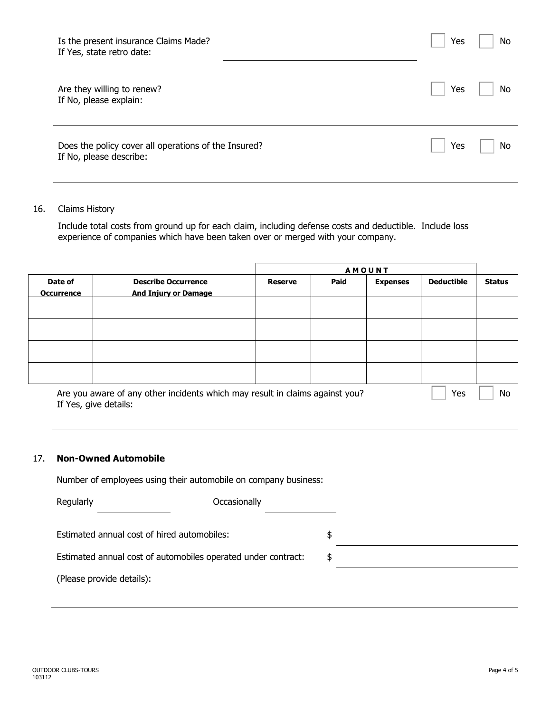| Is the present insurance Claims Made?<br>If Yes, state retro date:              | Yes | <b>No</b> |
|---------------------------------------------------------------------------------|-----|-----------|
| Are they willing to renew?<br>If No, please explain:                            | Yes | <b>No</b> |
| Does the policy cover all operations of the Insured?<br>If No, please describe: | Yes | No        |

#### 16. Claims History

Include total costs from ground up for each claim, including defense costs and deductible. Include loss experience of companies which have been taken over or merged with your company.

|                              |                                                                              |                | <b>AMOUNT</b> |                 |                   |               |  |
|------------------------------|------------------------------------------------------------------------------|----------------|---------------|-----------------|-------------------|---------------|--|
| Date of<br><b>Occurrence</b> | <b>Describe Occurrence</b><br><b>And Injury or Damage</b>                    | <b>Reserve</b> | Paid          | <b>Expenses</b> | <b>Deductible</b> | <b>Status</b> |  |
|                              |                                                                              |                |               |                 |                   |               |  |
|                              |                                                                              |                |               |                 |                   |               |  |
|                              |                                                                              |                |               |                 |                   |               |  |
|                              |                                                                              |                |               |                 |                   |               |  |
|                              | Are you aware of any other incidents which may result in claims against you? |                |               |                 | Yes               | No            |  |

If Yes, give details:

#### 17. **Non-Owned Automobile**

Number of employees using their automobile on company business:

| Regularly                                                     | Occasionally |  |
|---------------------------------------------------------------|--------------|--|
|                                                               |              |  |
| Estimated annual cost of hired automobiles:                   | \$           |  |
| Estimated annual cost of automobiles operated under contract: | \$           |  |
| (Please provide details):                                     |              |  |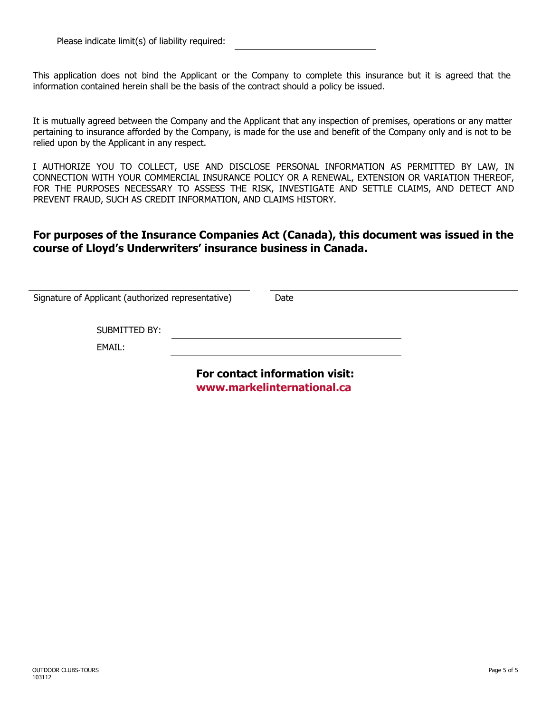This application does not bind the Applicant or the Company to complete this insurance but it is agreed that the information contained herein shall be the basis of the contract should a policy be issued.

It is mutually agreed between the Company and the Applicant that any inspection of premises, operations or any matter pertaining to insurance afforded by the Company, is made for the use and benefit of the Company only and is not to be relied upon by the Applicant in any respect.

I AUTHORIZE YOU TO COLLECT, USE AND DISCLOSE PERSONAL INFORMATION AS PERMITTED BY LAW, IN CONNECTION WITH YOUR COMMERCIAL INSURANCE POLICY OR A RENEWAL, EXTENSION OR VARIATION THEREOF, FOR THE PURPOSES NECESSARY TO ASSESS THE RISK, INVESTIGATE AND SETTLE CLAIMS, AND DETECT AND PREVENT FRAUD, SUCH AS CREDIT INFORMATION, AND CLAIMS HISTORY.

## **For purposes of the Insurance Companies Act (Canada), this document was issued in the course of Lloyd's Underwriters' insurance business in Canada.**

| Signature of Applicant (authorized representative) | Date                           |  |  |
|----------------------------------------------------|--------------------------------|--|--|
| SUBMITTED BY:                                      |                                |  |  |
| EMAIL:                                             |                                |  |  |
|                                                    | For contact information visit: |  |  |

**<www.markelinternational.ca>**